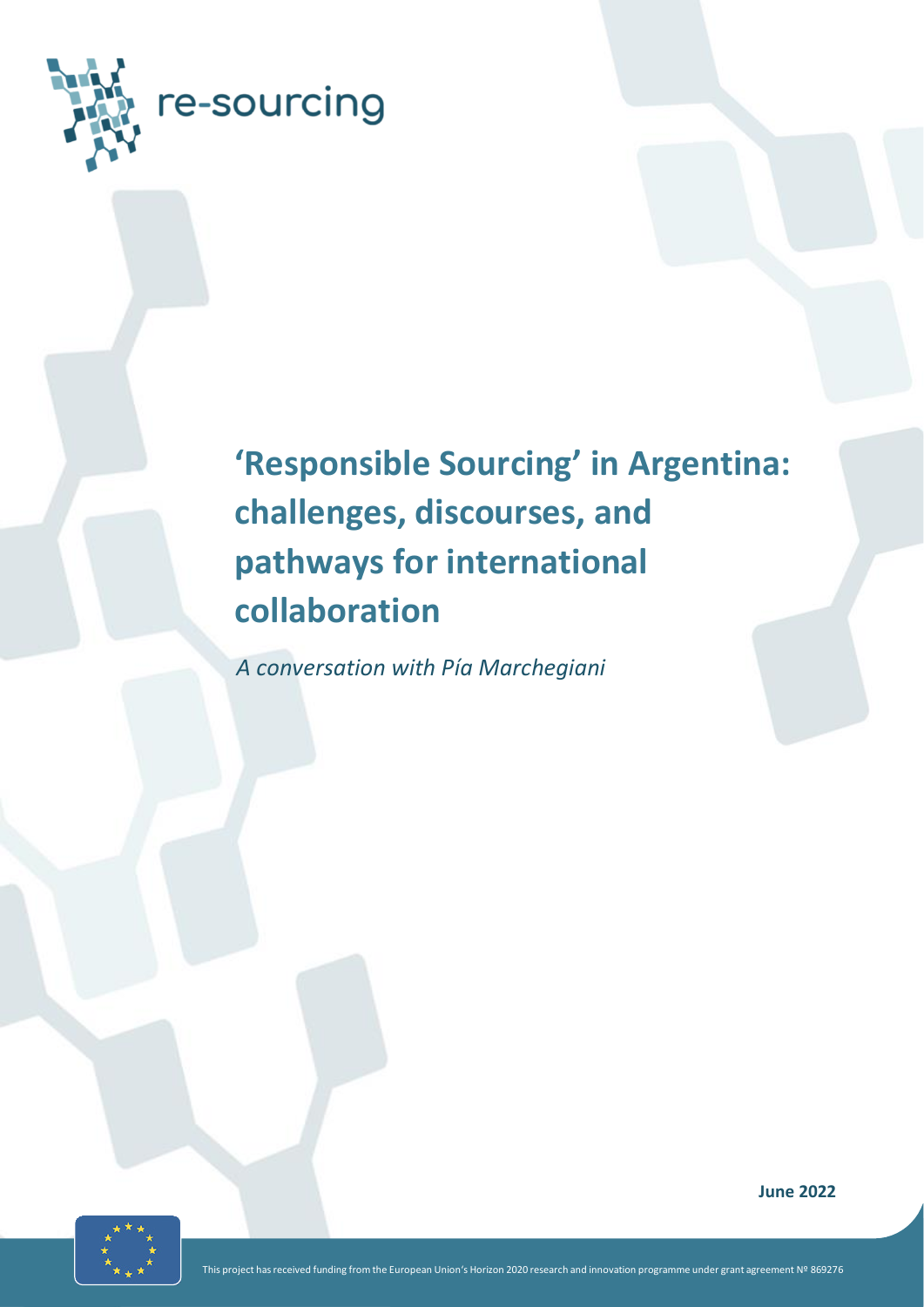

# **'Responsible Sourcing' in Argentina: challenges, discourses, and pathways for international collaboration**

*A conversation with Pía Marchegiani*



**June 2022**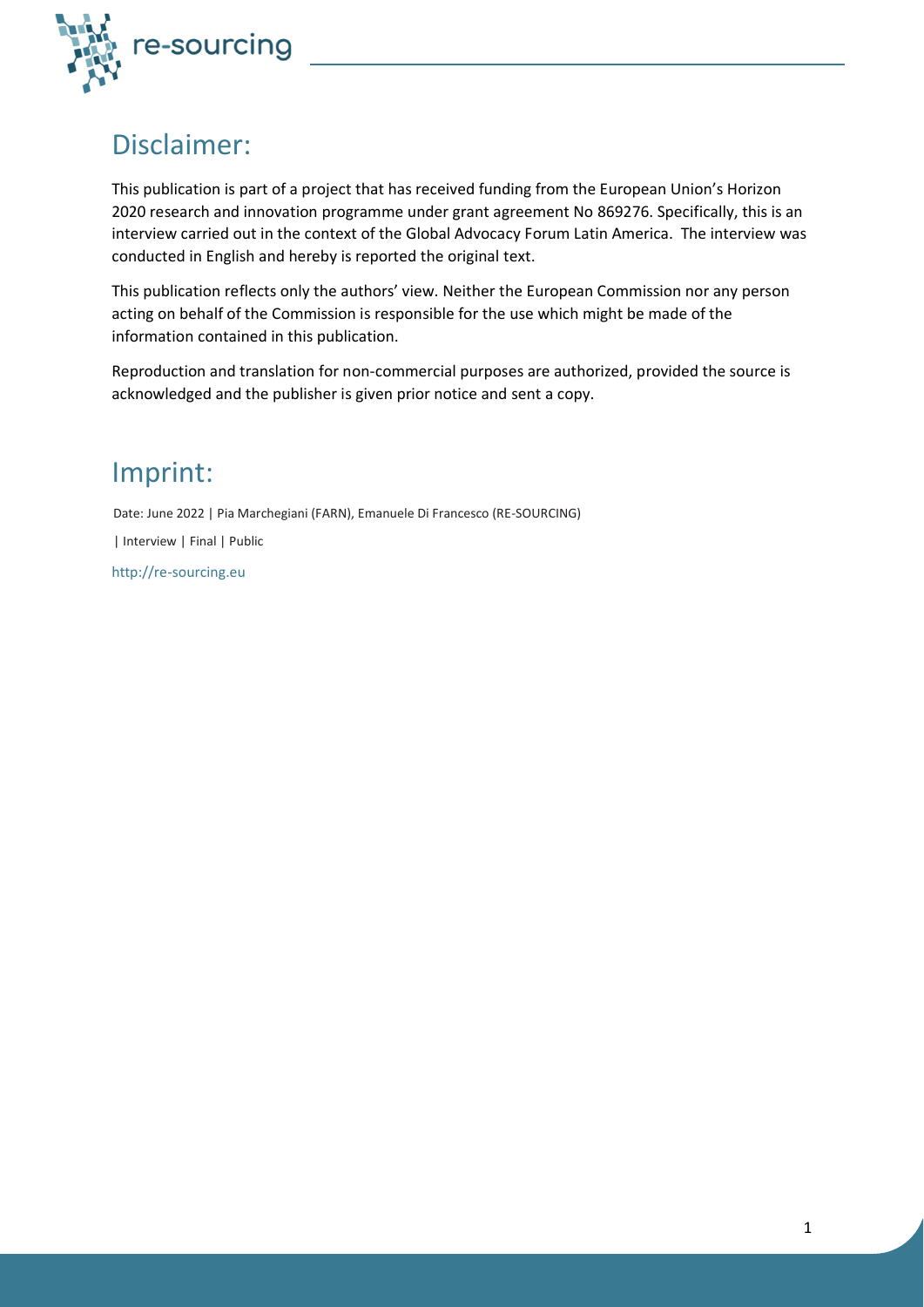

# Disclaimer:

This publication is part of a project that has received funding from the European Union's Horizon 2020 research and innovation programme under grant agreement No 869276. Specifically, this is an interview carried out in the context of the Global Advocacy Forum Latin America. The interview was conducted in English and hereby is reported the original text.

This publication reflects only the authors' view. Neither the European Commission nor any person acting on behalf of the Commission is responsible for the use which might be made of the information contained in this publication.

Reproduction and translation for non-commercial purposes are authorized, provided the source is acknowledged and the publisher is given prior notice and sent a copy.

# Imprint:

Date: June 2022 | Pia Marchegiani (FARN), Emanuele Di Francesco (RE-SOURCING) | Interview | Final | Public

http://re-sourcing.eu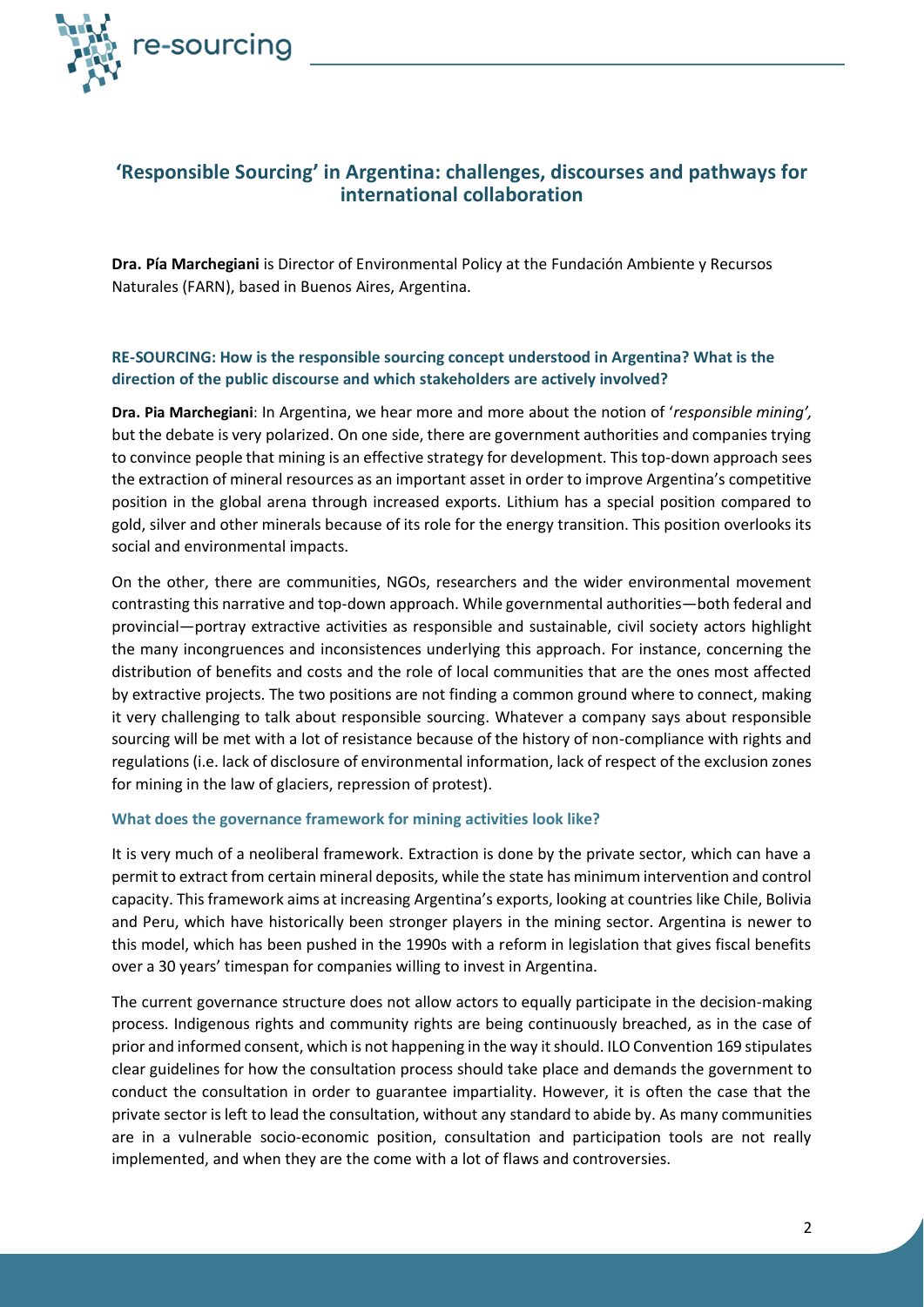

# **'Responsible Sourcing' in Argentina: challenges, discourses and pathways for international collaboration**

**Dra. Pía Marchegiani** is Director of Environmental Policy at the Fundación Ambiente y Recursos Naturales (FARN), based in Buenos Aires, Argentina.

### **RE-SOURCING: How is the responsible sourcing concept understood in Argentina? What is the direction of the public discourse and which stakeholders are actively involved?**

**Dra. Pia Marchegiani**: In Argentina, we hear more and more about the notion of '*responsible mining',*  but the debate is very polarized. On one side, there are government authorities and companies trying to convince people that mining is an effective strategy for development. This top-down approach sees the extraction of mineral resources as an important asset in order to improve Argentina's competitive position in the global arena through increased exports. Lithium has a special position compared to gold, silver and other minerals because of its role for the energy transition. This position overlooks its social and environmental impacts.

On the other, there are communities, NGOs, researchers and the wider environmental movement contrasting this narrative and top-down approach. While governmental authorities—both federal and provincial—portray extractive activities as responsible and sustainable, civil society actors highlight the many incongruences and inconsistences underlying this approach. For instance, concerning the distribution of benefits and costs and the role of local communities that are the ones most affected by extractive projects. The two positions are not finding a common ground where to connect, making it very challenging to talk about responsible sourcing. Whatever a company says about responsible sourcing will be met with a lot of resistance because of the history of non-compliance with rights and regulations (i.e. lack of disclosure of environmental information, lack of respect of the exclusion zones for mining in the law of glaciers, repression of protest).

#### **What does the governance framework for mining activities look like?**

It is very much of a neoliberal framework. Extraction is done by the private sector, which can have a permit to extract from certain mineral deposits, while the state has minimum intervention and control capacity. This framework aims at increasing Argentina's exports, looking at countries like Chile, Bolivia and Peru, which have historically been stronger players in the mining sector. Argentina is newer to this model, which has been pushed in the 1990s with a reform in legislation that gives fiscal benefits over a 30 years' timespan for companies willing to invest in Argentina.

The current governance structure does not allow actors to equally participate in the decision-making process. Indigenous rights and community rights are being continuously breached, as in the case of prior and informed consent, which is not happening in the way it should. ILO Convention 169 stipulates clear guidelines for how the consultation process should take place and demands the government to conduct the consultation in order to guarantee impartiality. However, it is often the case that the private sector is left to lead the consultation, without any standard to abide by. As many communities are in a vulnerable socio-economic position, consultation and participation tools are not really implemented, and when they are the come with a lot of flaws and controversies.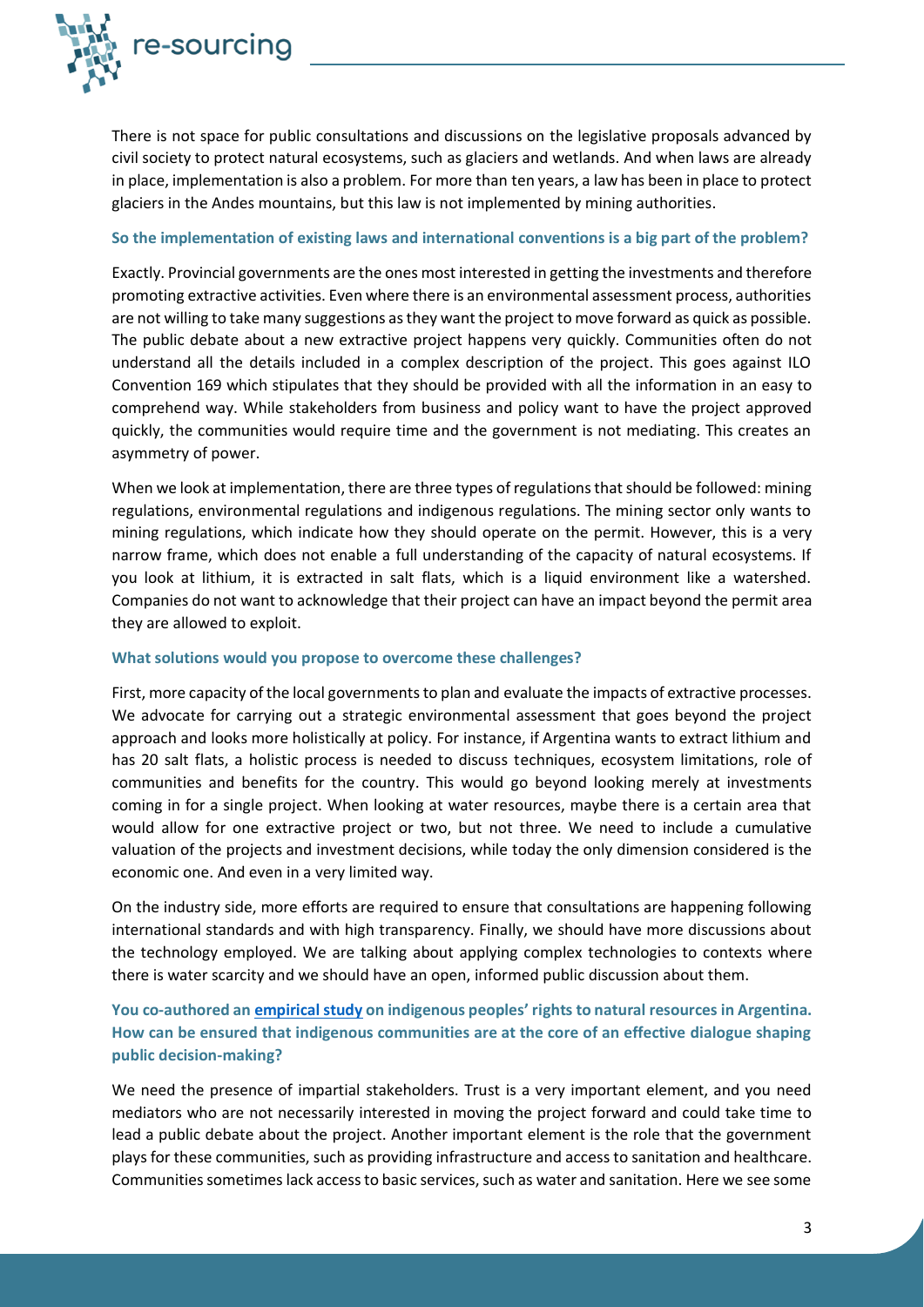

There is not space for public consultations and discussions on the legislative proposals advanced by civil society to protect natural ecosystems, such as glaciers and wetlands. And when laws are already in place, implementation is also a problem. For more than ten years, a law has been in place to protect glaciers in the Andes mountains, but this law is not implemented by mining authorities.

#### **So the implementation of existing laws and international conventions is a big part of the problem?**

Exactly. Provincial governments are the ones most interested in getting the investments and therefore promoting extractive activities. Even where there is an environmental assessment process, authorities are not willing to take many suggestions as they want the project to move forward as quick as possible. The public debate about a new extractive project happens very quickly. Communities often do not understand all the details included in a complex description of the project. This goes against ILO Convention 169 which stipulates that they should be provided with all the information in an easy to comprehend way. While stakeholders from business and policy want to have the project approved quickly, the communities would require time and the government is not mediating. This creates an asymmetry of power.

When we look at implementation, there are three types of regulations that should be followed: mining regulations, environmental regulations and indigenous regulations. The mining sector only wants to mining regulations, which indicate how they should operate on the permit. However, this is a very narrow frame, which does not enable a full understanding of the capacity of natural ecosystems. If you look at lithium, it is extracted in salt flats, which is a liquid environment like a watershed. Companies do not want to acknowledge that their project can have an impact beyond the permit area they are allowed to exploit.

#### **What solutions would you propose to overcome these challenges?**

First, more capacity of the local governments to plan and evaluate the impacts of extractive processes. We advocate for carrying out a strategic environmental assessment that goes beyond the project approach and looks more holistically at policy. For instance, if Argentina wants to extract lithium and has 20 salt flats, a holistic process is needed to discuss techniques, ecosystem limitations, role of communities and benefits for the country. This would go beyond looking merely at investments coming in for a single project. When looking at water resources, maybe there is a certain area that would allow for one extractive project or two, but not three. We need to include a cumulative valuation of the projects and investment decisions, while today the only dimension considered is the economic one. And even in a very limited way.

On the industry side, more efforts are required to ensure that consultations are happening following international standards and with high transparency. Finally, we should have more discussions about the technology employed. We are talking about applying complex technologies to contexts where there is water scarcity and we should have an open, informed public discussion about them.

## **You co-authored a[n empirical study](https://www.tandfonline.com/doi/abs/10.1080/13642987.2019.1677617) on indigenous peoples' rights to natural resources in Argentina. How can be ensured that indigenous communities are at the core of an effective dialogue shaping public decision-making?**

We need the presence of impartial stakeholders. Trust is a very important element, and you need mediators who are not necessarily interested in moving the project forward and could take time to lead a public debate about the project. Another important element is the role that the government plays for these communities, such as providing infrastructure and access to sanitation and healthcare. Communities sometimes lack access to basic services, such as water and sanitation. Here we see some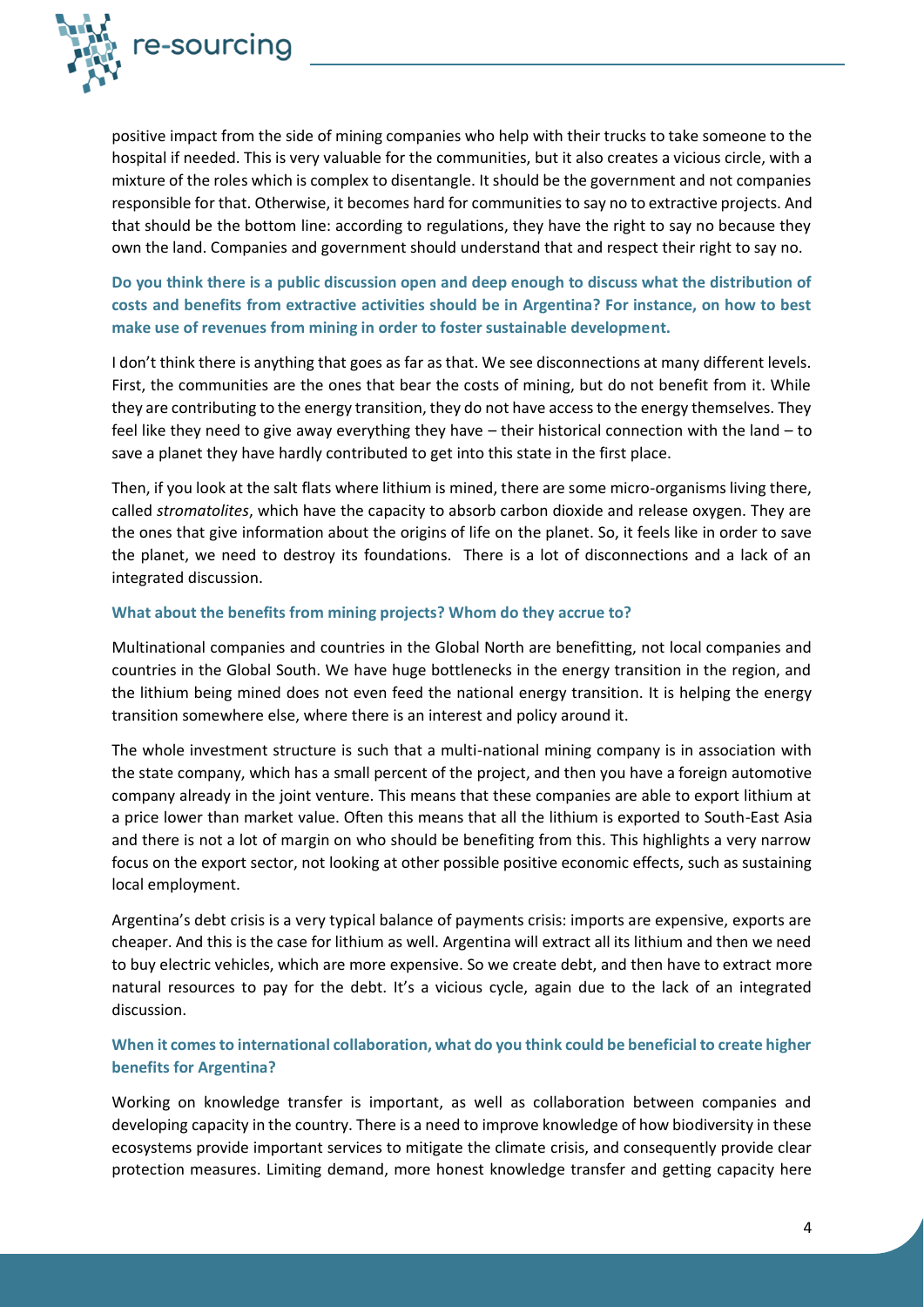

positive impact from the side of mining companies who help with their trucks to take someone to the hospital if needed. This is very valuable for the communities, but it also creates a vicious circle, with a mixture of the roles which is complex to disentangle. It should be the government and not companies responsible for that. Otherwise, it becomes hard for communities to say no to extractive projects. And that should be the bottom line: according to regulations, they have the right to say no because they own the land. Companies and government should understand that and respect their right to say no.

# **Do you think there is a public discussion open and deep enough to discuss what the distribution of costs and benefits from extractive activities should be in Argentina? For instance, on how to best make use of revenues from mining in order to foster sustainable development.**

I don't think there is anything that goes as far as that. We see disconnections at many different levels. First, the communities are the ones that bear the costs of mining, but do not benefit from it. While they are contributing to the energy transition, they do not have access to the energy themselves. They feel like they need to give away everything they have – their historical connection with the land – to save a planet they have hardly contributed to get into this state in the first place.

Then, if you look at the salt flats where lithium is mined, there are some micro-organisms living there, called *stromatolites*, which have the capacity to absorb carbon dioxide and release oxygen. They are the ones that give information about the origins of life on the planet. So, it feels like in order to save the planet, we need to destroy its foundations. There is a lot of disconnections and a lack of an integrated discussion.

#### **What about the benefits from mining projects? Whom do they accrue to?**

Multinational companies and countries in the Global North are benefitting, not local companies and countries in the Global South. We have huge bottlenecks in the energy transition in the region, and the lithium being mined does not even feed the national energy transition. It is helping the energy transition somewhere else, where there is an interest and policy around it.

The whole investment structure is such that a multi-national mining company is in association with the state company, which has a small percent of the project, and then you have a foreign automotive company already in the joint venture. This means that these companies are able to export lithium at a price lower than market value. Often this means that all the lithium is exported to South-East Asia and there is not a lot of margin on who should be benefiting from this. This highlights a very narrow focus on the export sector, not looking at other possible positive economic effects, such as sustaining local employment.

Argentina's debt crisis is a very typical balance of payments crisis: imports are expensive, exports are cheaper. And this is the case for lithium as well. Argentina will extract all its lithium and then we need to buy electric vehicles, which are more expensive. So we create debt, and then have to extract more natural resources to pay for the debt. It's a vicious cycle, again due to the lack of an integrated discussion.

### **When it comes to international collaboration, what do you think could be beneficial to create higher benefits for Argentina?**

Working on knowledge transfer is important, as well as collaboration between companies and developing capacity in the country. There is a need to improve knowledge of how biodiversity in these ecosystems provide important services to mitigate the climate crisis, and consequently provide clear protection measures. Limiting demand, more honest knowledge transfer and getting capacity here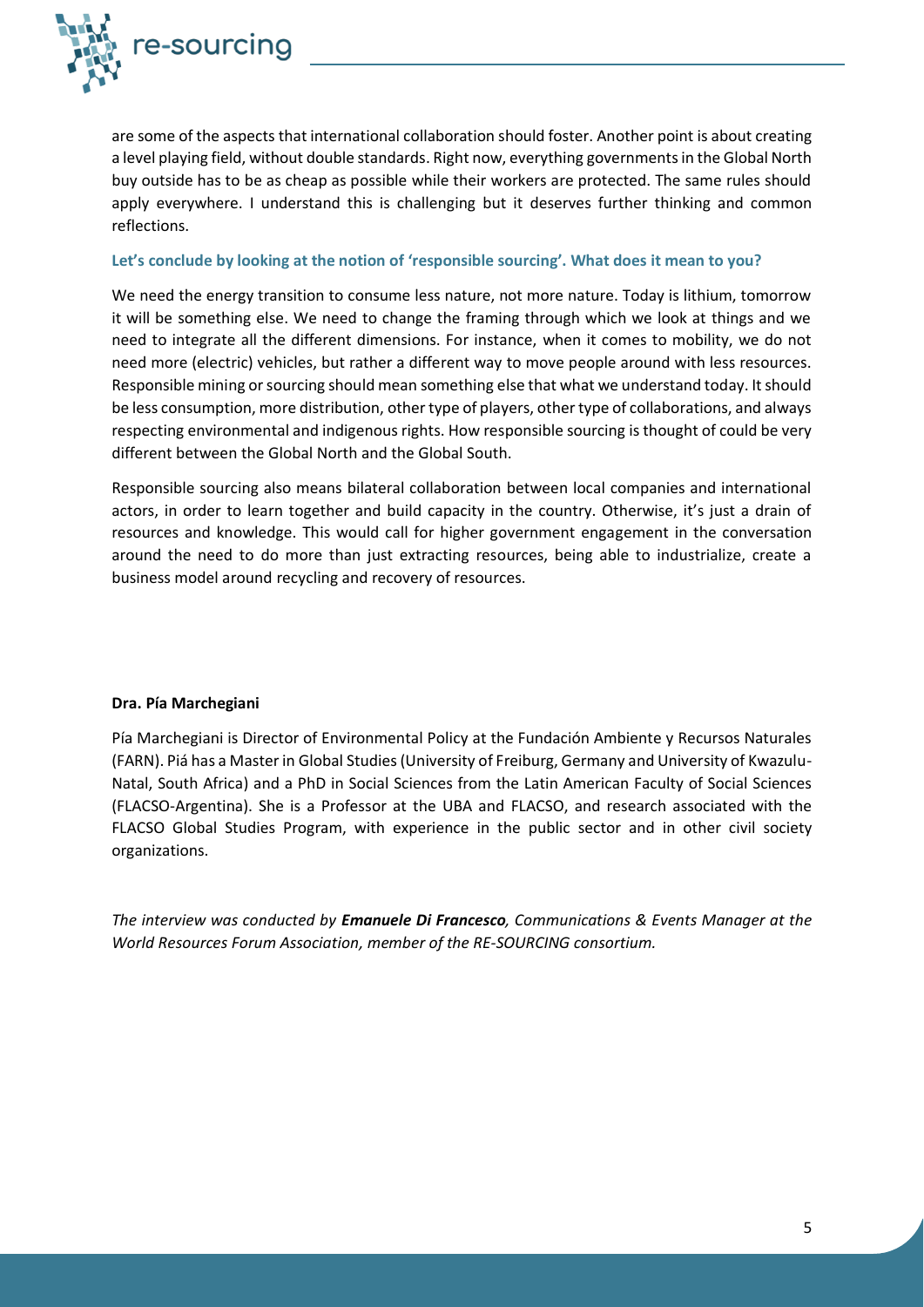

are some of the aspects that international collaboration should foster. Another point is about creating a level playing field, without double standards. Right now, everything governments in the Global North buy outside has to be as cheap as possible while their workers are protected. The same rules should apply everywhere. I understand this is challenging but it deserves further thinking and common reflections.

#### **Let's conclude by looking at the notion of 'responsible sourcing'. What does it mean to you?**

We need the energy transition to consume less nature, not more nature. Today is lithium, tomorrow it will be something else. We need to change the framing through which we look at things and we need to integrate all the different dimensions. For instance, when it comes to mobility, we do not need more (electric) vehicles, but rather a different way to move people around with less resources. Responsible mining or sourcing should mean something else that what we understand today. It should be less consumption, more distribution, other type of players, other type of collaborations, and always respecting environmental and indigenous rights. How responsible sourcing is thought of could be very different between the Global North and the Global South.

Responsible sourcing also means bilateral collaboration between local companies and international actors, in order to learn together and build capacity in the country. Otherwise, it's just a drain of resources and knowledge. This would call for higher government engagement in the conversation around the need to do more than just extracting resources, being able to industrialize, create a business model around recycling and recovery of resources.

#### **Dra. Pía Marchegiani**

Pía Marchegiani is Director of Environmental Policy at the Fundación Ambiente y Recursos Naturales (FARN). Piá has a Master in Global Studies (University of Freiburg, Germany and University of Kwazulu-Natal, South Africa) and a PhD in Social Sciences from the Latin American Faculty of Social Sciences (FLACSO-Argentina). She is a Professor at the UBA and FLACSO, and research associated with the FLACSO Global Studies Program, with experience in the public sector and in other civil society organizations.

*The interview was conducted by Emanuele Di Francesco, Communications & Events Manager at the World Resources Forum Association, member of the RE-SOURCING consortium.*